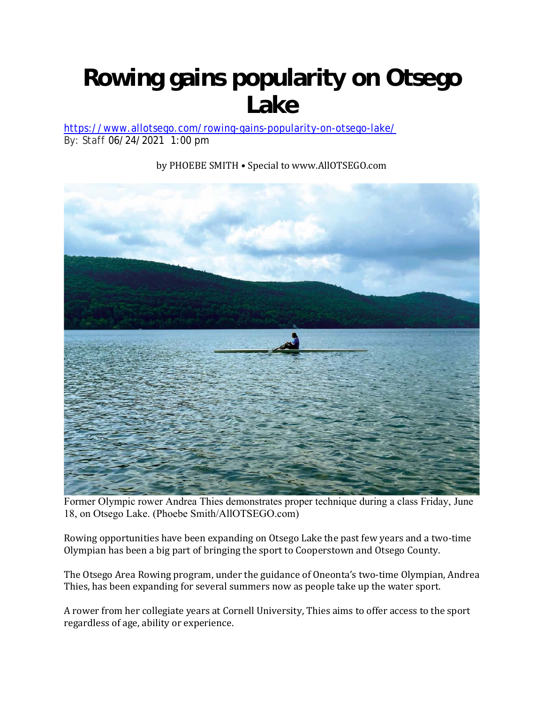## **Rowing gains popularity on Otsego Lake**

https://www.allotsego.com/rowing-gains-popularity-on-otsego-lake/ By: Staff 06/24/2021 1:00 pm



by PHOEBE SMITH • Special to www.AllOTSEGO.com

Former Olympic rower Andrea Thies demonstrates proper technique during a class Friday, June 18, on Otsego Lake. (Phoebe Smith/AllOTSEGO.com)

Rowing opportunities have been expanding on Otsego Lake the past few years and a two-time Olympian has been a big part of bringing the sport to Cooperstown and Otsego County.

The Otsego Area Rowing program, under the guidance of Oneonta's two-time Olympian, Andrea Thies, has been expanding for several summers now as people take up the water sport.

A rower from her collegiate years at Cornell University, Thies aims to offer access to the sport regardless of age, ability or experience.